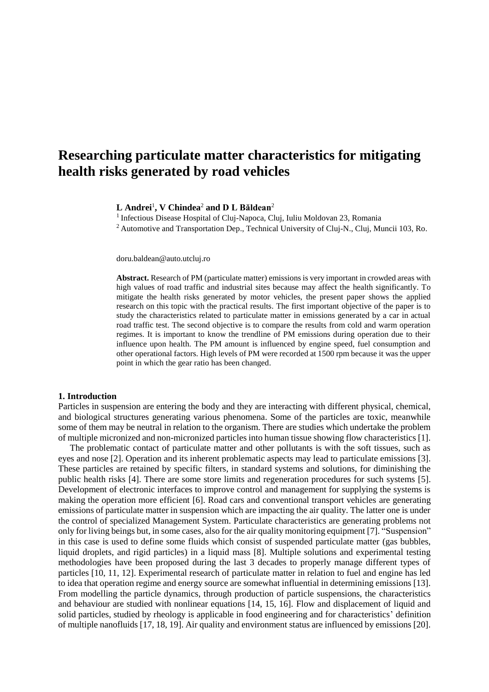# **Researching particulate matter characteristics for mitigating health risks generated by road vehicles**

# **L Andrei**<sup>1</sup> **, V Chindea**<sup>2</sup> **and D L Băldean**<sup>2</sup>

<sup>1</sup> Infectious Disease Hospital of Cluj-Napoca, Cluj, Iuliu Moldovan 23, Romania

<sup>2</sup> Automotive and Transportation Dep., Technical University of Cluj-N., Cluj, Muncii 103, Ro.

doru.baldean@auto.utcluj.ro

**Abstract.** Research of PM (particulate matter) emissions is very important in crowded areas with high values of road traffic and industrial sites because may affect the health significantly. To mitigate the health risks generated by motor vehicles, the present paper shows the applied research on this topic with the practical results. The first important objective of the paper is to study the characteristics related to particulate matter in emissions generated by a car in actual road traffic test. The second objective is to compare the results from cold and warm operation regimes. It is important to know the trendline of PM emissions during operation due to their influence upon health. The PM amount is influenced by engine speed, fuel consumption and other operational factors. High levels of PM were recorded at 1500 rpm because it was the upper point in which the gear ratio has been changed.

#### **1. Introduction**

Particles in suspension are entering the body and they are interacting with different physical, chemical, and biological structures generating various phenomena. Some of the particles are toxic, meanwhile some of them may be neutral in relation to the organism. There are studies which undertake the problem of multiple micronized and non-micronized particles into human tissue showing flow characteristics [1].

The problematic contact of particulate matter and other pollutants is with the soft tissues, such as eyes and nose [2]. Operation and its inherent problematic aspects may lead to particulate emissions [3]. These particles are retained by specific filters, in standard systems and solutions, for diminishing the public health risks [4]. There are some store limits and regeneration procedures for such systems [5]. Development of electronic interfaces to improve control and management for supplying the systems is making the operation more efficient [6]. Road cars and conventional transport vehicles are generating emissions of particulate matter in suspension which are impacting the air quality. The latter one is under the control of specialized Management System. Particulate characteristics are generating problems not only for living beings but, in some cases, also for the air quality monitoring equipment [7]. "Suspension" in this case is used to define some fluids which consist of suspended particulate matter (gas bubbles, liquid droplets, and rigid particles) in a liquid mass [8]. Multiple solutions and experimental testing methodologies have been proposed during the last 3 decades to properly manage different types of particles [10, 11, 12]. Experimental research of particulate matter in relation to fuel and engine has led to idea that operation regime and energy source are somewhat influential in determining emissions [13]. From modelling the particle dynamics, through production of particle suspensions, the characteristics and behaviour are studied with nonlinear equations [14, 15, 16]. Flow and displacement of liquid and solid particles, studied by rheology is applicable in food engineering and for characteristics' definition of multiple nanofluids [17, 18, 19]. Air quality and environment status are influenced by emissions [20].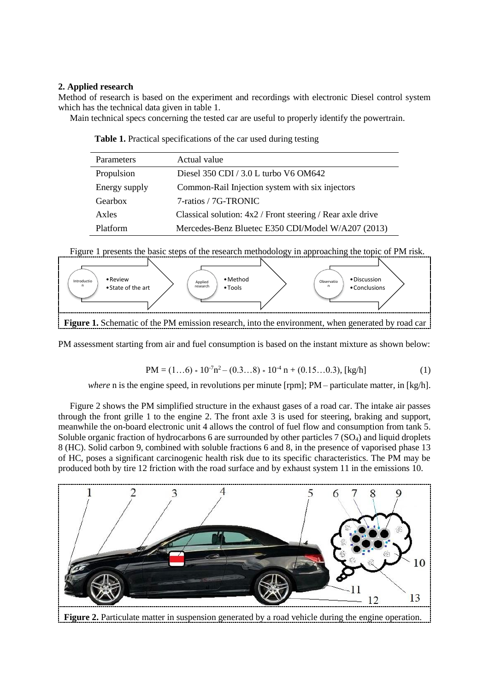# **2. Applied research**

Method of research is based on the experiment and recordings with electronic Diesel control system which has the technical data given in table 1.

Main technical specs concerning the tested car are useful to properly identify the powertrain.

| <b>Table 1.</b> Practical specifications of the car used during testing |  |
|-------------------------------------------------------------------------|--|
|-------------------------------------------------------------------------|--|

| Parameters    | Actual value                                                 |
|---------------|--------------------------------------------------------------|
| Propulsion    | Diesel 350 CDI / 3.0 L turbo V6 OM642                        |
| Energy supply | Common-Rail Injection system with six injectors              |
| Gearbox       | 7-ratios / 7G-TRONIC                                         |
| Axles         | Classical solution: $4x2$ / Front steering / Rear axle drive |
| Platform      | Mercedes-Benz Bluetec E350 CDI/Model W/A207 (2013)           |

Figure 1 presents the basic steps of the research methodology in approaching the topic of PM risk.



Figure 1. Schematic of the PM emission research, into the environment, when generated by road car

PM assessment starting from air and fuel consumption is based on the instant mixture as shown below:

$$
PM = (1...6) * 107n2 - (0.3...8) * 104n + (0.15...0.3), [kg/h]
$$
 (1)

*where* n is the engine speed, in revolutions per minute [rpm]; PM – particulate matter, in [kg/h].

Figure 2 shows the PM simplified structure in the exhaust gases of a road car. The intake air passes through the front grille 1 to the engine 2. The front axle 3 is used for steering, braking and support, meanwhile the on-board electronic unit 4 allows the control of fuel flow and consumption from tank 5. Soluble organic fraction of hydrocarbons 6 are surrounded by other particles 7 (SO<sub>4</sub>) and liquid droplets 8 (HC). Solid carbon 9, combined with soluble fractions 6 and 8, in the presence of vaporised phase 13 of HC, poses a significant carcinogenic health risk due to its specific characteristics. The PM may be produced both by tire 12 friction with the road surface and by exhaust system 11 in the emissions 10.

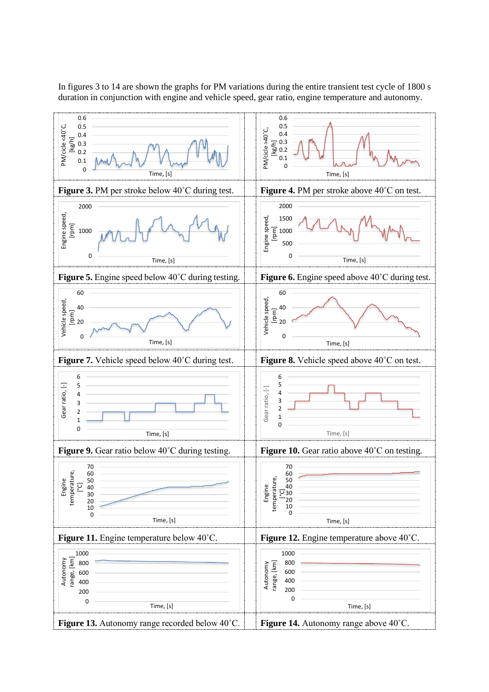In figures 3 to 14 are shown the graphs for PM variations during the entire transient test cycle of 1800 s duration in conjunction with engine and vehicle speed, gear ratio, engine temperature and autonomy.

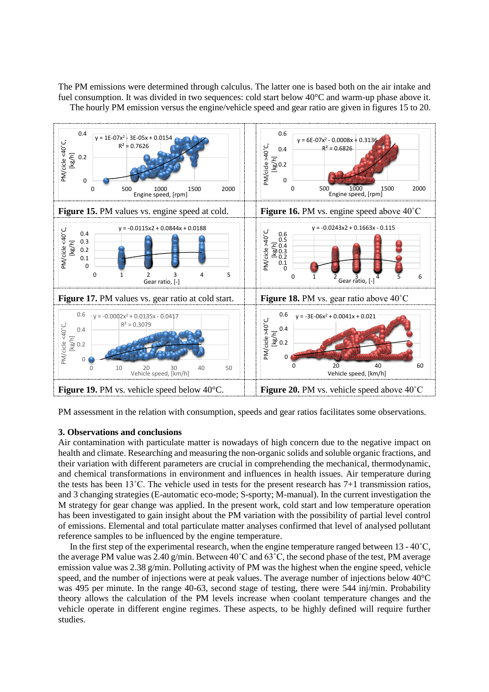The PM emissions were determined through calculus. The latter one is based both on the air intake and fuel consumption. It was divided in two sequences: cold start below 40°C and warm-up phase above it. The hourly PM emission versus the engine/vehicle speed and gear ratio are given in figures 15 to 20.



PM assessment in the relation with consumption, speeds and gear ratios facilitates some observations.

### **3. Observations and conclusions**

Air contamination with particulate matter is nowadays of high concern due to the negative impact on health and climate. Researching and measuring the non-organic solids and soluble organic fractions, and their variation with different parameters are crucial in comprehending the mechanical, thermodynamic, and chemical transformations in environment and influences in health issues. Air temperature during the tests has been 13˚C. The vehicle used in tests for the present research has 7+1 transmission ratios, and 3 changing strategies (E-automatic eco-mode; S-sporty; M-manual). In the current investigation the M strategy for gear change was applied. In the present work, cold start and low temperature operation has been investigated to gain insight about the PM variation with the possibility of partial level control of emissions. Elemental and total particulate matter analyses confirmed that level of analysed pollutant reference samples to be influenced by the engine temperature.

In the first step of the experimental research, when the engine temperature ranged between  $13 - 40^{\circ}$ C, the average PM value was 2.40 g/min. Between 40˚C and 63˚C, the second phase of the test, PM average emission value was 2.38 g/min. Polluting activity of PM was the highest when the engine speed, vehicle speed, and the number of injections were at peak values. The average number of injections below 40°C was 495 per minute. In the range 40-63, second stage of testing, there were 544 inj/min. Probability theory allows the calculation of the PM levels increase when coolant temperature changes and the vehicle operate in different engine regimes. These aspects, to be highly defined will require further studies.